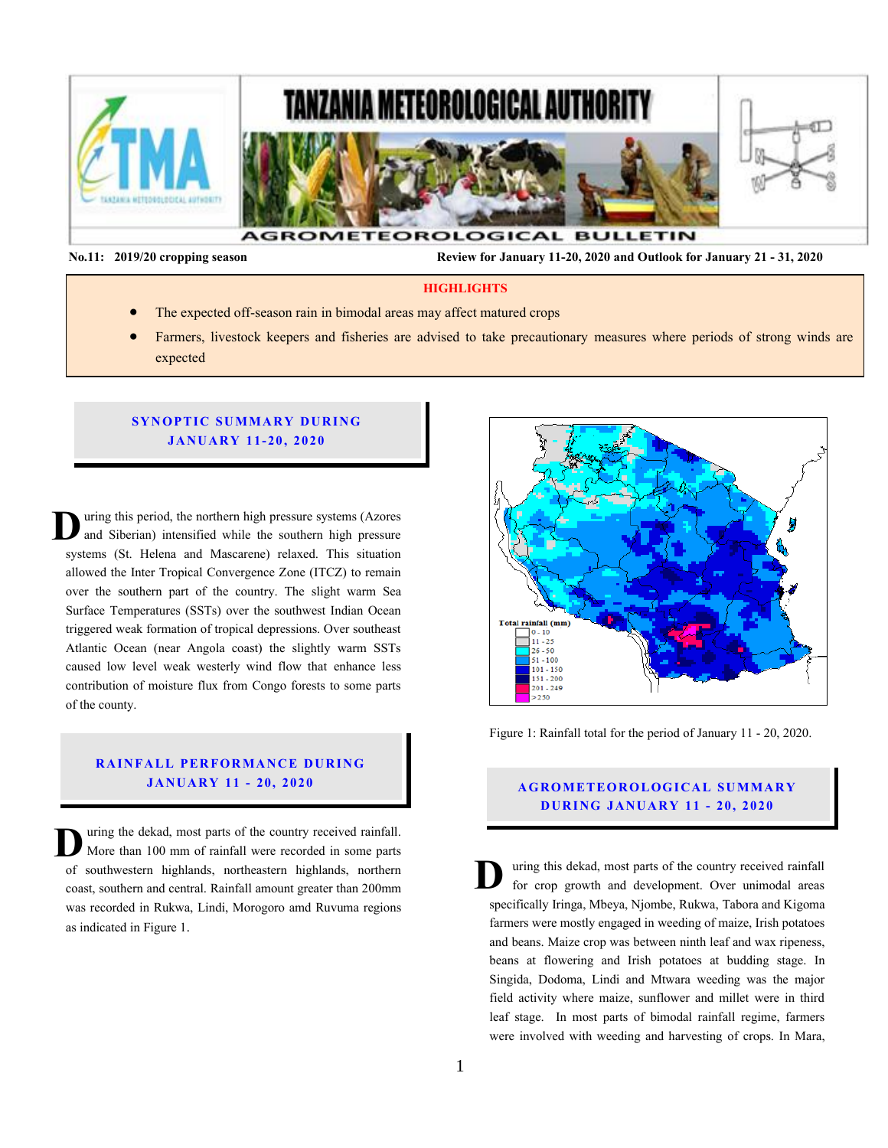

**No.11: 2019/20 cropping season Review for January 11-20, 2020 and Outlook for January 21 - 31, 2020** 

#### **HIGHLIGHTS**

- The expected off-season rain in bimodal areas may affect matured crops
- Farmers, livestock keepers and fisheries are advised to take precautionary measures where periods of strong winds are expected

#### **SYNOPTIC SUMMARY DURING JA NU AR Y 11- 20 , 20 20**

uring this period, the northern high pressure systems (Azores and Siberian) intensified while the southern high pressure systems (St. Helena and Mascarene) relaxed. This situation allowed the Inter Tropical Convergence Zone (ITCZ) to remain over the southern part of the country. The slight warm Sea Surface Temperatures (SSTs) over the southwest Indian Ocean triggered weak formation of tropical depressions. Over southeast Atlantic Ocean (near Angola coast) the slightly warm SSTs caused low level weak westerly wind flow that enhance less contribution of moisture flux from Congo forests to some parts of the county. **D**  $\begin{array}{c} S \\ \hline \text{tr} \\ A \end{array}$  $\begin{bmatrix} 1 & 1 \\ 0 & 0 \end{bmatrix}$ 

## **RAINFALL PERFORMANCE DURING JANUARY 11 - 20, 2020 AGROMETEOROLOGICAL SUMMARY**

uring the dekad, most parts of the country received rainfall. More than 100 mm of rainfall were recorded in some parts of southwestern highlands, northeastern highlands, northern coast, southern and central. Rainfall amount greater than 200mm was recorded in Rukwa, Lindi, Morogoro amd Ruvuma regions as indicated in Figure 1. **D**



Figure 1: Rainfall total for the period of January 11 - 20, 2020.

# **D UR ING JANU AR Y 11 - 20, 2020**

uring this dekad, most parts of the country received rainfall for crop growth and development. Over unimodal areas specifically Iringa, Mbeya, Njombe, Rukwa, Tabora and Kigoma farmers were mostly engaged in weeding of maize, Irish potatoes and beans. Maize crop was between ninth leaf and wax ripeness, beans at flowering and Irish potatoes at budding stage. In Singida, Dodoma, Lindi and Mtwara weeding was the major field activity where maize, sunflower and millet were in third leaf stage. In most parts of bimodal rainfall regime, farmers were involved with weeding and harvesting of crops. In Mara, **D**